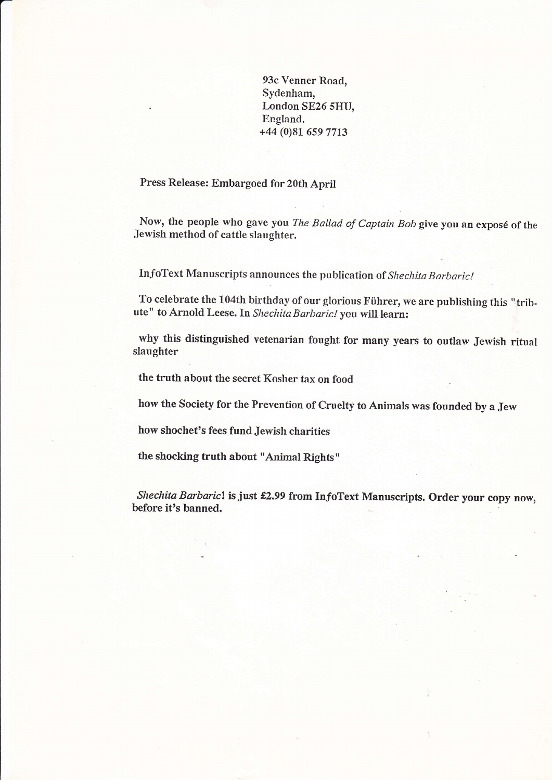93c Venner Road, Sydenham, London SE26 sHU, England. +44 (0)81 659 7713

## Press Release: Embargoed for 20th April

Now, the people who gave you The Ballad of Captain Bob give you an exposé of the Jewish method of cattle slaughter.

InfoText Manuscripts announces the publication of Shechita Barbaric!

To celebrate the 104th birthday of our glorious Fiihrer, we are publishing this "tribute" to Arnold Leese. In Shechita Barbaric! you will learn:

why this distinguished vetenarian fought for many years to outlaw Jewish ritual slaughter

the truth about the secret Kosher tax on food

how the Society for the Prevention of Cruelty to Animals was founded by a Jew

how shochet's fees fund Jewish charities

the shocking truth about "Animal Rights"

Shechita Barbaric! is just £2.99 from InfoText Manuscripts. Order your copy now, before it's banned.